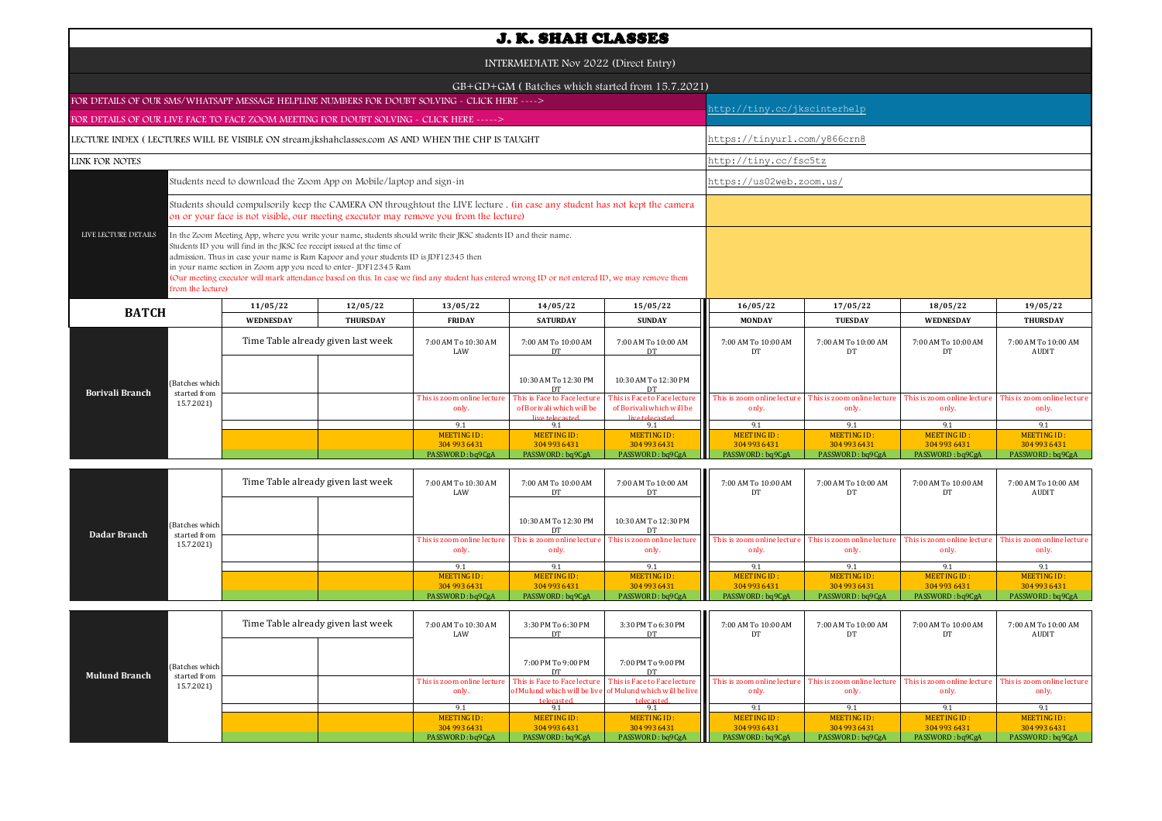| INTERMEDIATE Nov 2022 (Direct Entry)<br>$GB+GD+GM$ (Batches which started from 15.7.2021)<br>FOR DETAILS OF OUR SMS/WHATSAPP MESSAGE HELPLINE NUMBERS FOR DOUBT SOLVING - CLICK HERE ----><br>http://tiny.cc/jkscinterhelp<br>FOR DETAILS OF OUR LIVE FACE TO FACE ZOOM MEETING FOR DOUBT SOLVING - CLICK HERE -----><br>https://tinyurl.com/y866crn8<br>LECTURE INDEX (LECTURES WILL BE VISIBLE ON stream.jkshahclasses.com AS AND WHEN THE CHP IS TAUGHT<br><b>LINK FOR NOTES</b><br>http://tiny.cc/fsc5tz<br>https://us02web.zoom.us/<br>Students need to download the Zoom App on Mobile/laptop and sign-in<br>Students should compulsorily keep the CAMERA ON throughtout the LIVE lecture. (in case any student has not kept the camera<br>on or your face is not visible, our meeting executor may remove you from the lecture)<br>LIVE LECTURE DETAILS<br>In the Zoom Meeting App, where you write your name, students should write their JKSC students ID and their name.<br>Students ID you will find in the JKSC fee receipt issued at the time of<br>admission. Thus in case your name is Ram Kapoor and your students ID is JDF12345 then<br>in your name section in Zoom app you need to enter-JDF12345 Ram<br>(Our meeting executor will mark attendance based on this. In case we find any student has entered wrong ID or not entered ID, we may remove them<br>from the lecture)<br>11/05/22<br>12/05/22<br>13/05/22<br>14/05/22<br>15/05/22<br>16/05/22<br>17/05/22<br>18/05/22<br>19/05/22<br><b>BATCH</b><br>WEDNESDAY<br><b>THURSDAY</b><br><b>SATURDAY</b><br><b>SUNDAY</b><br><b>MONDAY</b><br><b>TUESDAY</b><br>WEDNESDAY<br><b>THURSDAY</b><br><b>FRIDAY</b><br>Time Table already given last week<br>7:00 AM To 10:30 AM<br>7:00 AM To 10:00 AM<br>7:00 AM To 10:00 AM<br>7:00 AM To 10:00 AM<br>7:00 AM To 10:00 AM<br>7:00 AM To 10:00 AM<br>7:00 AM To 10:00 AM<br>LAW<br>DT<br><b>AUDIT</b><br>DT<br>DT<br>DT<br>DT<br>10:30 AM To 12:30 PM<br>10:30 AM To 12:30 PM<br>(Batches which<br>DТ<br><b>Borivali Branch</b><br>started from<br>This is Face to Face lecture<br>This is Face to Face lecture<br>This is zoom online lecture<br>This is zoom online lectur<br>This is zoom online lectur<br>This is zoom online lecture<br>This is zoom online lecture<br>15.7.2021)<br>of Borivali which will be<br>of Borivali which will be<br>only.<br>only.<br>only.<br>only.<br>only.<br>live telecasted<br>live telecasted<br>9.1<br>9.1<br>9.1<br>9.1<br>9.1<br>9.1<br>9.1<br>MEETING ID:<br>MEETING ID:<br>MEETING ID:<br><b>MEETING ID:</b><br><b>MEETING ID:</b><br><b>MEETING ID:</b><br><b>MEETING ID:</b><br>304 993 6431<br>304 993 6431<br>304 993 6431<br>304 993 6431<br>304 993 6431<br>304 993 6431<br>304 993 6431<br>PASSWORD: bq9CgA<br>PASSWORD: bq9CgA<br>PASSWORD: bq9CgA<br>PASSWORD: bq9CgA<br>PASSWORD: bq9CgA<br>PASSWORD: bq9CgA<br>PASSWORD: bq9CgA | <b>J. K. SHAH CLASSES</b> |  |  |  |  |  |  |  |  |  |  |  |  |
|------------------------------------------------------------------------------------------------------------------------------------------------------------------------------------------------------------------------------------------------------------------------------------------------------------------------------------------------------------------------------------------------------------------------------------------------------------------------------------------------------------------------------------------------------------------------------------------------------------------------------------------------------------------------------------------------------------------------------------------------------------------------------------------------------------------------------------------------------------------------------------------------------------------------------------------------------------------------------------------------------------------------------------------------------------------------------------------------------------------------------------------------------------------------------------------------------------------------------------------------------------------------------------------------------------------------------------------------------------------------------------------------------------------------------------------------------------------------------------------------------------------------------------------------------------------------------------------------------------------------------------------------------------------------------------------------------------------------------------------------------------------------------------------------------------------------------------------------------------------------------------------------------------------------------------------------------------------------------------------------------------------------------------------------------------------------------------------------------------------------------------------------------------------------------------------------------------------------------------------------------------------------------------------------------------------------------------------------------------------------------------------------------------------------------------------------------------------------------------------------------------------------------------------------------------------------------------------------------------------------------------------------------------------------------------------------------------------------------------------------------------------------------------------------------------------------------------------------------------------------------------------------------------|---------------------------|--|--|--|--|--|--|--|--|--|--|--|--|
|                                                                                                                                                                                                                                                                                                                                                                                                                                                                                                                                                                                                                                                                                                                                                                                                                                                                                                                                                                                                                                                                                                                                                                                                                                                                                                                                                                                                                                                                                                                                                                                                                                                                                                                                                                                                                                                                                                                                                                                                                                                                                                                                                                                                                                                                                                                                                                                                                                                                                                                                                                                                                                                                                                                                                                                                                                                                                                            |                           |  |  |  |  |  |  |  |  |  |  |  |  |
|                                                                                                                                                                                                                                                                                                                                                                                                                                                                                                                                                                                                                                                                                                                                                                                                                                                                                                                                                                                                                                                                                                                                                                                                                                                                                                                                                                                                                                                                                                                                                                                                                                                                                                                                                                                                                                                                                                                                                                                                                                                                                                                                                                                                                                                                                                                                                                                                                                                                                                                                                                                                                                                                                                                                                                                                                                                                                                            |                           |  |  |  |  |  |  |  |  |  |  |  |  |
|                                                                                                                                                                                                                                                                                                                                                                                                                                                                                                                                                                                                                                                                                                                                                                                                                                                                                                                                                                                                                                                                                                                                                                                                                                                                                                                                                                                                                                                                                                                                                                                                                                                                                                                                                                                                                                                                                                                                                                                                                                                                                                                                                                                                                                                                                                                                                                                                                                                                                                                                                                                                                                                                                                                                                                                                                                                                                                            |                           |  |  |  |  |  |  |  |  |  |  |  |  |
|                                                                                                                                                                                                                                                                                                                                                                                                                                                                                                                                                                                                                                                                                                                                                                                                                                                                                                                                                                                                                                                                                                                                                                                                                                                                                                                                                                                                                                                                                                                                                                                                                                                                                                                                                                                                                                                                                                                                                                                                                                                                                                                                                                                                                                                                                                                                                                                                                                                                                                                                                                                                                                                                                                                                                                                                                                                                                                            |                           |  |  |  |  |  |  |  |  |  |  |  |  |
|                                                                                                                                                                                                                                                                                                                                                                                                                                                                                                                                                                                                                                                                                                                                                                                                                                                                                                                                                                                                                                                                                                                                                                                                                                                                                                                                                                                                                                                                                                                                                                                                                                                                                                                                                                                                                                                                                                                                                                                                                                                                                                                                                                                                                                                                                                                                                                                                                                                                                                                                                                                                                                                                                                                                                                                                                                                                                                            |                           |  |  |  |  |  |  |  |  |  |  |  |  |
|                                                                                                                                                                                                                                                                                                                                                                                                                                                                                                                                                                                                                                                                                                                                                                                                                                                                                                                                                                                                                                                                                                                                                                                                                                                                                                                                                                                                                                                                                                                                                                                                                                                                                                                                                                                                                                                                                                                                                                                                                                                                                                                                                                                                                                                                                                                                                                                                                                                                                                                                                                                                                                                                                                                                                                                                                                                                                                            |                           |  |  |  |  |  |  |  |  |  |  |  |  |
|                                                                                                                                                                                                                                                                                                                                                                                                                                                                                                                                                                                                                                                                                                                                                                                                                                                                                                                                                                                                                                                                                                                                                                                                                                                                                                                                                                                                                                                                                                                                                                                                                                                                                                                                                                                                                                                                                                                                                                                                                                                                                                                                                                                                                                                                                                                                                                                                                                                                                                                                                                                                                                                                                                                                                                                                                                                                                                            |                           |  |  |  |  |  |  |  |  |  |  |  |  |
|                                                                                                                                                                                                                                                                                                                                                                                                                                                                                                                                                                                                                                                                                                                                                                                                                                                                                                                                                                                                                                                                                                                                                                                                                                                                                                                                                                                                                                                                                                                                                                                                                                                                                                                                                                                                                                                                                                                                                                                                                                                                                                                                                                                                                                                                                                                                                                                                                                                                                                                                                                                                                                                                                                                                                                                                                                                                                                            |                           |  |  |  |  |  |  |  |  |  |  |  |  |
|                                                                                                                                                                                                                                                                                                                                                                                                                                                                                                                                                                                                                                                                                                                                                                                                                                                                                                                                                                                                                                                                                                                                                                                                                                                                                                                                                                                                                                                                                                                                                                                                                                                                                                                                                                                                                                                                                                                                                                                                                                                                                                                                                                                                                                                                                                                                                                                                                                                                                                                                                                                                                                                                                                                                                                                                                                                                                                            |                           |  |  |  |  |  |  |  |  |  |  |  |  |
|                                                                                                                                                                                                                                                                                                                                                                                                                                                                                                                                                                                                                                                                                                                                                                                                                                                                                                                                                                                                                                                                                                                                                                                                                                                                                                                                                                                                                                                                                                                                                                                                                                                                                                                                                                                                                                                                                                                                                                                                                                                                                                                                                                                                                                                                                                                                                                                                                                                                                                                                                                                                                                                                                                                                                                                                                                                                                                            |                           |  |  |  |  |  |  |  |  |  |  |  |  |
|                                                                                                                                                                                                                                                                                                                                                                                                                                                                                                                                                                                                                                                                                                                                                                                                                                                                                                                                                                                                                                                                                                                                                                                                                                                                                                                                                                                                                                                                                                                                                                                                                                                                                                                                                                                                                                                                                                                                                                                                                                                                                                                                                                                                                                                                                                                                                                                                                                                                                                                                                                                                                                                                                                                                                                                                                                                                                                            |                           |  |  |  |  |  |  |  |  |  |  |  |  |
|                                                                                                                                                                                                                                                                                                                                                                                                                                                                                                                                                                                                                                                                                                                                                                                                                                                                                                                                                                                                                                                                                                                                                                                                                                                                                                                                                                                                                                                                                                                                                                                                                                                                                                                                                                                                                                                                                                                                                                                                                                                                                                                                                                                                                                                                                                                                                                                                                                                                                                                                                                                                                                                                                                                                                                                                                                                                                                            |                           |  |  |  |  |  |  |  |  |  |  |  |  |
|                                                                                                                                                                                                                                                                                                                                                                                                                                                                                                                                                                                                                                                                                                                                                                                                                                                                                                                                                                                                                                                                                                                                                                                                                                                                                                                                                                                                                                                                                                                                                                                                                                                                                                                                                                                                                                                                                                                                                                                                                                                                                                                                                                                                                                                                                                                                                                                                                                                                                                                                                                                                                                                                                                                                                                                                                                                                                                            |                           |  |  |  |  |  |  |  |  |  |  |  |  |
|                                                                                                                                                                                                                                                                                                                                                                                                                                                                                                                                                                                                                                                                                                                                                                                                                                                                                                                                                                                                                                                                                                                                                                                                                                                                                                                                                                                                                                                                                                                                                                                                                                                                                                                                                                                                                                                                                                                                                                                                                                                                                                                                                                                                                                                                                                                                                                                                                                                                                                                                                                                                                                                                                                                                                                                                                                                                                                            |                           |  |  |  |  |  |  |  |  |  |  |  |  |
|                                                                                                                                                                                                                                                                                                                                                                                                                                                                                                                                                                                                                                                                                                                                                                                                                                                                                                                                                                                                                                                                                                                                                                                                                                                                                                                                                                                                                                                                                                                                                                                                                                                                                                                                                                                                                                                                                                                                                                                                                                                                                                                                                                                                                                                                                                                                                                                                                                                                                                                                                                                                                                                                                                                                                                                                                                                                                                            |                           |  |  |  |  |  |  |  |  |  |  |  |  |
|                                                                                                                                                                                                                                                                                                                                                                                                                                                                                                                                                                                                                                                                                                                                                                                                                                                                                                                                                                                                                                                                                                                                                                                                                                                                                                                                                                                                                                                                                                                                                                                                                                                                                                                                                                                                                                                                                                                                                                                                                                                                                                                                                                                                                                                                                                                                                                                                                                                                                                                                                                                                                                                                                                                                                                                                                                                                                                            |                           |  |  |  |  |  |  |  |  |  |  |  |  |
|                                                                                                                                                                                                                                                                                                                                                                                                                                                                                                                                                                                                                                                                                                                                                                                                                                                                                                                                                                                                                                                                                                                                                                                                                                                                                                                                                                                                                                                                                                                                                                                                                                                                                                                                                                                                                                                                                                                                                                                                                                                                                                                                                                                                                                                                                                                                                                                                                                                                                                                                                                                                                                                                                                                                                                                                                                                                                                            |                           |  |  |  |  |  |  |  |  |  |  |  |  |

| Dadar Branch |                                              | Time Table already given last week | 7:00 AM To 10:30 AM<br>LAW  | 7:00 AM To 10:00 AM<br>DT   | 7:00 AM To 10:00 AM<br>DT   | 7:00 AM To 10:00 AM<br>DT                                                                                                                                                                                                               | 7:00 AM To 10:00 AM         | 7:00 AM To 10:00 AM<br>DT   | 7:00 AM To 10:00 AM<br>AUDIT |
|--------------|----------------------------------------------|------------------------------------|-----------------------------|-----------------------------|-----------------------------|-----------------------------------------------------------------------------------------------------------------------------------------------------------------------------------------------------------------------------------------|-----------------------------|-----------------------------|------------------------------|
|              | (Batches which<br>started from<br>15.7.2021) |                                    |                             | 10:30 AM To 12:30 PM<br>DT  | 10:30 AM To 12:30 PM        |                                                                                                                                                                                                                                         |                             |                             |                              |
|              |                                              |                                    | only.                       | only.                       | only.                       | This is zoom online lecture This is zoom online lecture This is zoom online lecture This is zoom online lecture This is zoom online lecture This is zoom online lecture This is zoom online lecture This is zoom online lectur<br>only. | only.                       | only.                       | only.                        |
|              |                                              |                                    | 9.1                         |                             | 9.1                         | 9.1                                                                                                                                                                                                                                     |                             |                             | 9.1                          |
|              |                                              |                                    | MEETING ID:<br>304 993 6431 | MEETING ID:<br>304 993 6431 | MEETING ID:<br>304 993 6431 | MEETING ID:<br>304 993 6431                                                                                                                                                                                                             | MEETING ID:<br>304 993 6431 | MEETING ID:<br>304 993 6431 | MEETING ID:<br>304 993 6431  |
|              |                                              |                                    | PASSWORD: bq9CgA            | PASSWORD: bq9CgA            | PASSWORD: bq9CgA            | PASSWORD: bq9CgA                                                                                                                                                                                                                        | PASSWORD: bq9CgA            | PASSWORD: bq9CgA            | PASSWORD: bq9CgA             |

|                      |                                              | Time Table already given last week |  | 7:00 AM To 10:30 AM<br>LAW | 3:30 PM To 6:30 PM<br>DT | 3:30 PM To 6:30 PM<br>DT                                                | 7:00 AM To 10:00 AM<br>DТ | 7:00 AM To 10:00 AM | 7:00 AM To 10:00 AM | 7:00 AM To 10:00 AM<br><b>AUDIT</b> |
|----------------------|----------------------------------------------|------------------------------------|--|----------------------------|--------------------------|-------------------------------------------------------------------------|---------------------------|---------------------|---------------------|-------------------------------------|
|                      | (Batches which<br>started from<br>15.7.2021) |                                    |  |                            | 7:00 PM To 9:00 PM<br>DT | 7:00 PM To 9:00 PM<br>DТ                                                |                           |                     |                     |                                     |
| <b>Mulund Branch</b> |                                              |                                    |  | only.                      | telecasted               | of Mulund which will be live of Mulund which will be live<br>telecasted | only.                     | only.               | only.               | only.                               |
|                      |                                              |                                    |  |                            |                          | 9.1                                                                     | 9.1                       |                     | $Q_1$               |                                     |
|                      |                                              |                                    |  | MEETING ID:                | MEETING ID:              | MEETING ID:                                                             | <b>MEETING ID:</b>        | MEETING ID:         | MEETING ID:         | MEETING ID:                         |
|                      |                                              |                                    |  | 304 993 6431               | 304 993 6431             | 304 993 6431                                                            | 304 993 6431              | 304 993 6431        | 304 993 6431        | 304 993 6431                        |
|                      |                                              |                                    |  | PASSWORD: bq9CgA           | PASSWORD: bq9CgA         | PASSWORD: bq9CgA                                                        | PASSWORD: bq9CgA          | PASSWORD: bq9CgA    | PASSWORD: bq9CgA    | PASSWORD: bq9CgA                    |